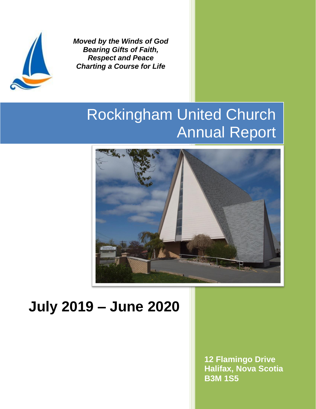

*Moved by the Winds of God Bearing Gifts of Faith, Respect and Peace Charting a Course for Life*

# Rockingham United Church Annual Report



## **July 2019 – June 2020**

**12 Flamingo Drive Halifax, Nova Scotia B3M 1S5**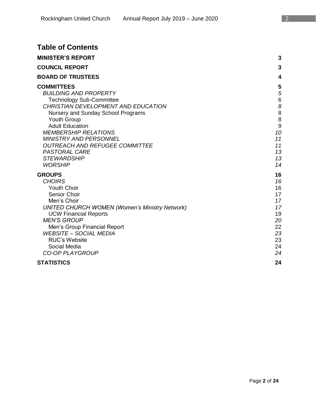| <b>Table of Contents</b>                              |       |
|-------------------------------------------------------|-------|
| <b>MINISTER'S REPORT</b>                              | 3     |
| <b>COUNCIL REPORT</b>                                 | 3     |
| <b>BOARD OF TRUSTEES</b>                              | 4     |
| <b>COMMITTEES</b>                                     | 5     |
| <b>BUILDING AND PROPERTY</b>                          | 5     |
| <b>Technology Sub-Committee</b>                       | $\,6$ |
| CHRISTIAN DEVELOPMENT AND EDUCATION                   | 8     |
| Nursery and Sunday School Programs                    | 8     |
| <b>Youth Group</b>                                    | 8     |
| <b>Adult Education</b>                                | 9     |
| <b>MEMBERSHIP RELATIONS</b>                           | 10    |
| <b>MINISTRY AND PERSONNEL</b>                         | 11    |
| <b>OUTREACH AND REFUGEE COMMITTEE</b>                 | 11    |
| <b>PASTORAL CARE</b>                                  | 13    |
| <b>STEWARDSHIP</b>                                    | 13    |
| <b>WORSHIP</b>                                        | 14    |
| <b>GROUPS</b>                                         | 16    |
| <b>CHOIRS</b>                                         | 16    |
| <b>Youth Choir</b>                                    | 16    |
| Senior Choir                                          | 17    |
| Men's Choir                                           | 17    |
| <b>UNITED CHURCH WOMEN (Women's Ministry Network)</b> | 17    |
| <b>UCW Financial Reports</b>                          | 19    |
| <b>MEN'S GROUP</b>                                    | 20    |

Men's Group Financial Report 22<br>Many 22 September 2001 23 September 23 September 23 September 23 September 23 September 23 September 23 Septem<br>23 September 23 September 23 September 23 September 23 September 23 September 2

RUC's Website 23 Social Media 24 *CO-OP PLAYGROUP 24* **STATISTICS 24**

*WEBSITE – SOCIAL MEDIA 23*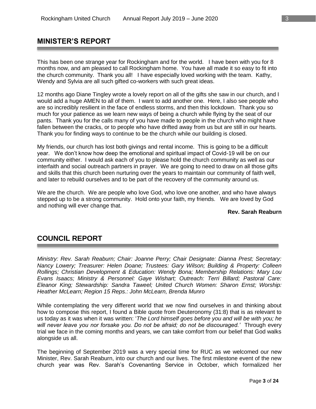## **MINISTER'S REPORT**

This has been one strange year for Rockingham and for the world. I have been with you for 8 months now, and am pleased to call Rockingham home. You have all made it so easy to fit into the church community. Thank you all! I have especially loved working with the team. Kathy, Wendy and Sylvia are all such gifted co-workers with such great ideas.

12 months ago Diane Tingley wrote a lovely report on all of the gifts she saw in our church, and I would add a huge AMEN to all of them. I want to add another one. Here, I also see people who are so incredibly resilient in the face of endless storms, and then this lockdown. Thank you so much for your patience as we learn new ways of being a church while flying by the seat of our pants. Thank you for the calls many of you have made to people in the church who might have fallen between the cracks, or to people who have drifted away from us but are still in our hearts. Thank you for finding ways to continue to be the church while our building is closed.

My friends, our church has lost both givings and rental income. This is going to be a difficult year. We don't know how deep the emotional and spiritual impact of Covid-19 will be on our community either. I would ask each of you to please hold the church community as well as our interfaith and social outreach partners in prayer. We are going to need to draw on all those gifts and skills that this church been nurturing over the years to maintain our community of faith well, and later to rebuild ourselves and to be part of the recovery of the community around us.

We are the church. We are people who love God, who love one another, and who have always stepped up to be a strong community. Hold onto your faith, my friends. We are loved by God and nothing will ever change that.

#### **Rev. Sarah Reaburn**

## **COUNCIL REPORT**

*Ministry: Rev. Sarah Reaburn; Chair: Joanne Perry; Chair Designate: Dianna Prest; Secretary: Nancy Lowery; Treasurer: Helen Doane; Trustees: Gary Wilson; Building & Property: Colleen Rollings; Christian Development & Education: Wendy Bona; Membership Relations: Mary Lou Evans Isaacs; Ministry & Personnel: Gaye Wishart; Outreach: Terri Billard; Pastoral Care: Eleanor King; Stewardship: Sandra Taweel; United Church Women: Sharon Ernst; Worship: Heather McLearn; Region 15 Reps.: John McLearn, Brenda Munro*

While contemplating the very different world that we now find ourselves in and thinking about how to compose this report, I found a Bible quote from Deuteronomy (31:8) that is as relevant to us today as it was when it was written: '*The Lord himself goes before you and will be with you; he will never leave you nor forsake you. Do not be afraid; do not be discouraged.'* Through every trial we face in the coming months and years, we can take comfort from our belief that God walks alongside us all.

The beginning of September 2019 was a very special time for RUC as we welcomed our new Minister, Rev. Sarah Reaburn, into our church and our lives. The first milestone event of the new church year was Rev. Sarah's Covenanting Service in October, which formalized her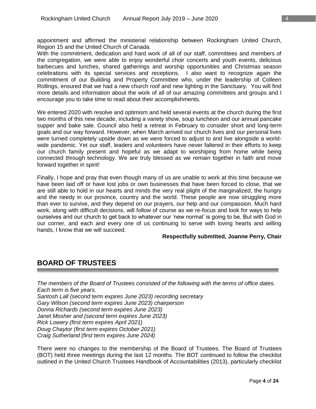appointment and affirmed the ministerial relationship between Rockingham United Church, Region 15 and the United Church of Canada.

With the commitment, dedication and hard work of all of our staff, committees and members of the congregation, we were able to enjoy wonderful choir concerts and youth events, delicious barbecues and lunches, shared gatherings and worship opportunities and Christmas season celebrations with its special services and receptions. I also want to recognize again the commitment of our Building and Property Committee who, under the leadership of Colleen Rollings, ensured that we had a new church roof and new lighting in the Sanctuary. You will find more details and information about the work of all of our amazing committees and groups and I encourage you to take time to read about their accomplishments.

We entered 2020 with resolve and optimism and held several events at the church during the first two months of this new decade, including a variety show, soup luncheon and our annual pancake supper and bake sale. Council also held a retreat in February to consider short and long-term goals and our way forward. However, when March arrived our church lives and our personal lives were turned completely upside down as we were forced to adjust to and live alongside a worldwide pandemic. Yet our staff, leaders and volunteers have never faltered in their efforts to keep our church family present and hopeful as we adapt to worshiping from home while being connected through technology. We are truly blessed as we remain together in faith and move forward together in spirit!

Finally, I hope and pray that even though many of us are unable to work at this time because we have been laid off or have lost jobs or own businesses that have been forced to close, that we are still able to hold in our hearts and minds the very real plight of the marginalized, the hungry and the needy in our province, country and the world. These people are now struggling more than ever to survive, and they depend on our prayers, our help and our compassion. Much hard work, along with difficult decisions, will follow of course as we re-focus and look for ways to help ourselves and our church to get back to whatever our 'new normal' is going to be. But with God in our corner, and each and every one of us continuing to serve with loving hearts and willing hands, I know that we will succeed.

#### **Respectfully submitted, Joanne Perry, Chair**

## **BOARD OF TRUSTEES**

*The members of the Board of Trustees consisted of the following with the terms of office dates. Each term is five years. Santosh Lall (second term expires June 2023) recording secretary Gary Wilson (second term expires June 2023) chairperson Donna Richards (second term expires June 2023) Janet Mosher and (second term expires June 2023) Rick Lowery (first term expires April 2021) Doug Chaytor (first term expires October 2021) Craig Sutherland (first term expires June 2024)*

There were no changes to the membership of the Board of Trustees. The Board of Trustees (BOT) held three meetings during the last 12 months. The BOT continued to follow the checklist outlined in the United Church Trustees Handbook of Accountabilities (2013), particularly checklist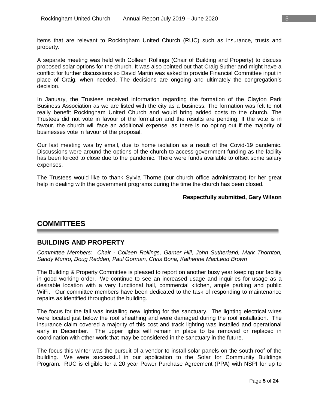items that are relevant to Rockingham United Church (RUC) such as insurance, trusts and property.

A separate meeting was held with Colleen Rollings (Chair of Building and Property) to discuss proposed solar options for the church. It was also pointed out that Craig Sutherland might have a conflict for further discussions so David Martin was asked to provide Financial Committee input in place of Craig, when needed. The decisions are ongoing and ultimately the congregation's decision.

In January, the Trustees received information regarding the formation of the Clayton Park Business Association as we are listed with the city as a business. The formation was felt to not really benefit Rockingham United Church and would bring added costs to the church. The Trustees did not vote in favour of the formation and the results are pending. If the vote is in favour, the church will face an additional expense, as there is no opting out if the majority of businesses vote in favour of the proposal.

Our last meeting was by email, due to home isolation as a result of the Covid-19 pandemic. Discussions were around the options of the church to access government funding as the facility has been forced to close due to the pandemic. There were funds available to offset some salary expenses.

The Trustees would like to thank Sylvia Thorne (our church office administrator) for her great help in dealing with the government programs during the time the church has been closed.

#### **Respectfully submitted, Gary Wilson**

## **COMMITTEES**

## **BUILDING AND PROPERTY**

*Committee Members: Chair - Colleen Rollings, Garner Hill, John Sutherland, Mark Thornton, Sandy Munro, Doug Redden, Paul Gorman, Chris Bona, Katherine MacLeod Brown*

The Building & Property Committee is pleased to report on another busy year keeping our facility in good working order. We continue to see an increased usage and inquiries for usage as a desirable location with a very functional hall, commercial kitchen, ample parking and public WiFi. Our committee members have been dedicated to the task of responding to maintenance repairs as identified throughout the building.

The focus for the fall was installing new lighting for the sanctuary. The lighting electrical wires were located just below the roof sheathing and were damaged during the roof installation. The insurance claim covered a majority of this cost and track lighting was installed and operational early in December. The upper lights will remain in place to be removed or replaced in coordination with other work that may be considered in the sanctuary in the future.

The focus this winter was the pursuit of a vendor to install solar panels on the south roof of the building. We were successful in our application to the Solar for Community Buildings Program. RUC is eligible for a 20 year Power Purchase Agreement (PPA) with NSPI for up to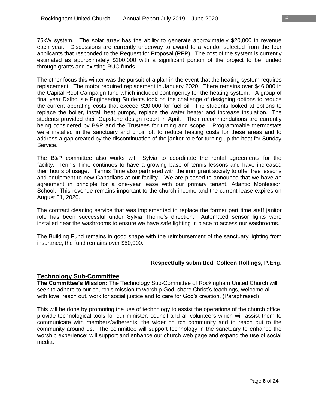75kW system. The solar array has the ability to generate approximately \$20,000 in revenue each year. Discussions are currently underway to award to a vendor selected from the four applicants that responded to the Request for Proposal (RFP). The cost of the system is currently estimated as approximately \$200,000 with a significant portion of the project to be funded through grants and existing RUC funds.

The other focus this winter was the pursuit of a plan in the event that the heating system requires replacement. The motor required replacement in January 2020. There remains over \$46,000 in the Capital Roof Campaign fund which included contingency for the heating system. A group of final year Dalhousie Engineering Students took on the challenge of designing options to reduce the current operating costs that exceed \$20,000 for fuel oil. The students looked at options to replace the boiler, install heat pumps, replace the water heater and increase insulation. The students provided their Capstone design report in April. Their recommendations are currently being considered by B&P and the Trustees for timing and scope. Programmable thermostats were installed in the sanctuary and choir loft to reduce heating costs for these areas and to address a gap created by the discontinuation of the janitor role for turning up the heat for Sunday Service.

The B&P committee also works with Sylvia to coordinate the rental agreements for the facility. Tennis Time continues to have a growing base of tennis lessons and have increased their hours of usage. Tennis Time also partnered with the immigrant society to offer free lessons and equipment to new Canadians at our facility. We are pleased to announce that we have an agreement in principle for a one-year lease with our primary tenant, Atlantic Montessori School. This revenue remains important to the church income and the current lease expires on August 31, 2020.

The contract cleaning service that was implemented to replace the former part time staff janitor role has been successful under Sylvia Thorne's direction. Automated sensor lights were installed near the washrooms to ensure we have safe lighting in place to access our washrooms.

The Building Fund remains in good shape with the reimbursement of the sanctuary lighting from insurance, the fund remains over \$50,000.

#### **Respectfully submitted, Colleen Rollings, P.Eng.**

#### **Technology Sub-Committee**

**The Committee's Mission:** The Technology Sub-Committee of Rockingham United Church will seek to adhere to our church's mission to worship God, share Christ's teachings, welcome all with love, reach out, work for social justice and to care for God's creation. (Paraphrased)

This will be done by promoting the use of technology to assist the operations of the church office, provide technological tools for our minister, council and all volunteers which will assist them to communicate with members/adherents, the wider church community and to reach out to the community around us. The committee will support technology in the sanctuary to enhance the worship experience; will support and enhance our church web page and expand the use of social media.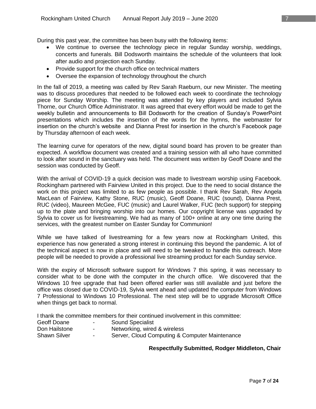- We continue to oversee the technology piece in regular Sunday worship, weddings, concerts and funerals. Bill Dodsworth maintains the schedule of the volunteers that look after audio and projection each Sunday.
- Provide support for the church office on technical matters
- Oversee the expansion of technology throughout the church

In the fall of 2019, a meeting was called by Rev Sarah Raeburn, our new Minister. The meeting was to discuss procedures that needed to be followed each week to coordinate the technology piece for Sunday Worship. The meeting was attended by key players and included Sylvia Thorne, our Church Office Administrator. It was agreed that every effort would be made to get the weekly bulletin and announcements to Bill Dodsworth for the creation of Sunday's PowerPoint presentations which includes the insertion of the words for the hymns, the webmaster for insertion on the church's website and Dianna Prest for insertion in the church's Facebook page by Thursday afternoon of each week.

The learning curve for operators of the new, digital sound board has proven to be greater than expected. A workflow document was created and a training session with all who have committed to look after sound in the sanctuary was held. The document was written by Geoff Doane and the session was conducted by Geoff.

With the arrival of COVID-19 a quick decision was made to livestream worship using Facebook. Rockingham partnered with Fairview United in this project. Due to the need to social distance the work on this project was limited to as few people as possible. I thank Rev Sarah, Rev Angela MacLean of Fairview, Kathy Stone, RUC (music), Geoff Doane, RUC (sound), Dianna Prest, RUC (video), Maureen McGee, FUC (music) and Laurel Walker, FUC (tech support) for stepping up to the plate and bringing worship into our homes. Our copyright license was upgraded by Sylvia to cover us for livestreaming. We had as many of 100+ online at any one time during the services, with the greatest number on Easter Sunday for Communion!

While we have talked of livestreaming for a few years now at Rockingham United, this experience has now generated a strong interest in continuing this beyond the pandemic. A lot of the technical aspect is now in place and will need to be tweaked to handle this outreach. More people will be needed to provide a professional live streaming product for each Sunday service.

With the expiry of Microsoft software support for Windows 7 this spring, it was necessary to consider what to be done with the computer in the church office. We discovered that the Windows 10 free upgrade that had been offered earlier was still available and just before the office was closed due to COVID-19, Sylvia went ahead and updated the computer from Windows 7 Professional to Windows 10 Professional. The next step will be to upgrade Microsoft Office when things get back to normal.

I thank the committee members for their continued involvement in this committee:

- Geoff Doane Sound Specialist
- Don Hailstone Networking, wired & wireless
- Shawn Silver  **Server, Cloud Computing & Computer Maintenance**

#### **Respectfully Submitted, Rodger Middleton, Chair**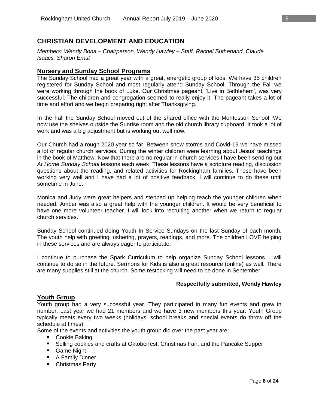## **CHRISTIAN DEVELOPMENT AND EDUCATION**

*Members: Wendy Bona – Chairperson, Wendy Hawley – Staff, Rachel Sutherland, Claude Isaacs, Sharon Ernst*

#### **Nursery and Sunday School Programs**

The Sunday School had a great year with a great, energetic group of kids. We have 35 children registered for Sunday School and most regularly attend Sunday School. Through the Fall we were working through the book of Luke. Our Christmas pageant, 'Live in Bethlehem', was very successful. The children and congregation seemed to really enjoy it. The pageant takes a lot of time and effort and we begin preparing right after Thanksgiving.

In the Fall the Sunday School moved out of the shared office with the Montessori School. We now use the shelves outside the Sunrise room and the old church library cupboard. It took a lot of work and was a big adjustment but is working out well now.

Our Church had a rough 2020 year so far. Between snow storms and Covid-19 we have missed a lot of regular church services. During the winter children were learning about Jesus' teachings in the book of Matthew. Now that there are no regular in-church services I have been sending out *At Home Sunday School* lessons each week. These lessons have a scripture reading, discussion questions about the reading, and related activities for Rockingham families. These have been working very well and I have had a lot of positive feedback. I will continue to do these until sometime in June.

Monica and Judy were great helpers and stepped up helping teach the younger children when needed. Amber was also a great help with the younger children. It would be very beneficial to have one more volunteer teacher. I will look into recruiting another when we return to regular church services.

Sunday School continued doing Youth In Service Sundays on the last Sunday of each month. The youth help with greeting, ushering, prayers, readings, and more. The children LOVE helping in these services and are always eager to participate.

I continue to purchase the Spark Curriculum to help organize Sunday School lessons. I will continue to do so in the future. Sermons for Kids is also a great resource (online) as well. There are many supplies still at the church. Some restocking will need to be done in September.

#### **Respectfully submitted, Wendy Hawley**

## **Youth Group**

Youth group had a very successful year. They participated in many fun events and grew in number. Last year we had 21 members and we have 3 new members this year. Youth Group typically meets every two weeks (holidays, school breaks and special events do throw off the schedule at times).

Some of the events and activities the youth group did over the past year are:

- Cookie Baking
- **Selling cookies and crafts at Oktoberfest, Christmas Fair, and the Pancake Supper**
- Game Night
- A Family Dinner
- Christmas Party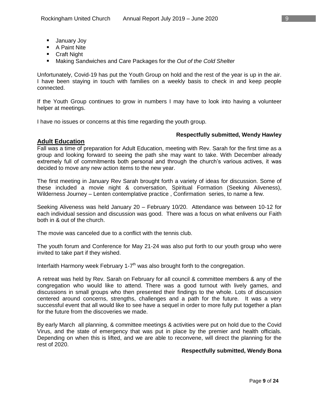- **January Joy**
- A Paint Nite
- **Craft Night**
- Making Sandwiches and Care Packages for the *Out of the Cold Shelter*

Unfortunately, Covid-19 has put the Youth Group on hold and the rest of the year is up in the air. I have been staying in touch with families on a weekly basis to check in and keep people connected.

If the Youth Group continues to grow in numbers I may have to look into having a volunteer helper at meetings.

I have no issues or concerns at this time regarding the youth group.

#### **Respectfully submitted, Wendy Hawley**

#### **Adult Education**

Fall was a time of preparation for Adult Education, meeting with Rev. Sarah for the first time as a group and looking forward to seeing the path she may want to take. With December already extremely full of commitments both personal and through the church's various actives, it was decided to move any new action items to the new year.

The first meeting in January Rev Sarah brought forth a variety of ideas for discussion. Some of these included a movie night & conversation, Spiritual Formation (Seeking Aliveness), Wilderness Journey – Lenten contemplative practice , Confirmation series, to name a few.

Seeking Aliveness was held January 20 – February 10/20. Attendance was between 10-12 for each individual session and discussion was good. There was a focus on what enlivens our Faith both in & out of the church.

The movie was canceled due to a conflict with the tennis club.

The youth forum and Conference for May 21-24 was also put forth to our youth group who were invited to take part if they wished.

Interfaith Harmony week February 1-7<sup>th</sup> was also brought forth to the congregation.

A retreat was held by Rev. Sarah on February for all council & committee members & any of the congregation who would like to attend. There was a good turnout with lively games, and discussions in small groups who then presented their findings to the whole. Lots of discussion centered around concerns, strengths, challenges and a path for the future. It was a very successful event that all would like to see have a sequel in order to more fully put together a plan for the future from the discoveries we made.

By early March all planning, & committee meetings & activities were put on hold due to the Covid Virus, and the state of emergency that was put in place by the premier and health officials. Depending on when this is lifted, and we are able to reconvene, will direct the planning for the rest of 2020.

#### **Respectfully submitted, Wendy Bona**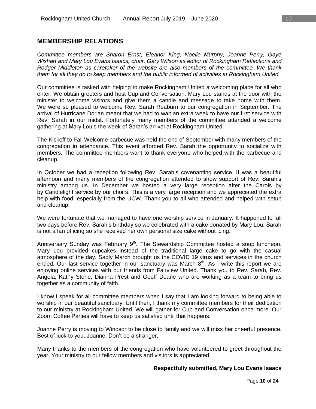## **MEMBERSHIP RELATIONS**

*Committee members are Sharon Ernst, Eleanor King, Noelle Murphy, Joanne Perry, Gaye Wishart and Mary Lou Evans Isaacs, chair. Gary Wilson as editor of Rockingham Reflections and Rodger Middleton as caretaker of the website are also members of the committee. We thank them for all they do to keep members and the public informed of activities at Rockingham United.*

Our committee is tasked with helping to make Rockingham United a welcoming place for all who enter. We obtain greeters and host Cup and Conversation. Mary Lou stands at the door with the minister to welcome visitors and give them a candle and message to take home with them. We were so pleased to welcome Rev. Sarah Reaburn to our congregation in September. The arrival of Hurricane Dorian meant that we had to wait an extra week to have our first service with Rev. Sarah in our midst. Fortunately many members of the committee attended a welcome gathering at Mary Lou's the week of Sarah's arrival at Rockingham United.

The Kickoff to Fall Welcome barbecue was held the end of September with many members of the congregation in attendance. This event afforded Rev. Sarah the opportunity to socialize with members. The committee members want to thank everyone who helped with the barbecue and cleanup.

In October we had a reception following Rev. Sarah's covenanting service. It was a beautiful afternoon and many members of the congregation attended to show support of Rev. Sarah's ministry among us. In December we hosted a very large reception after the Carols by by Candlelight service by our choirs. This is a very large reception and we appreciated the extra help with food, especially from the UCW. Thank you to all who attended and helped with setup and cleanup.

We were fortunate that we managed to have one worship service in January. It happened to fall two days before Rev. Sarah's birthday so we celebrated with a cake donated by Mary Lou. Sarah is not a fan of icing so she received her own personal size cake without icing.

Anniversary Sunday was February 9<sup>th</sup>. The Stewardship Committee hosted a soup luncheon. Mary Lou provided cupcakes instead of the traditional large cake to go with the casual atmosphere of the day. Sadly March brought us the COVID 19 virus and services in the church ended. Our last service together in our sanctuary was March  $8<sup>th</sup>$ . As I write this report we are enjoying online services with our friends from Fairview United. Thank you to Rev. Sarah, Rev. Angela, Kathy Stone, Dianna Prest and Geoff Doane who are working as a team to bring us together as a community of faith.

I know I speak for all committee members when I say that I am looking forward to being able to worship in our beautiful sanctuary. Until then, I thank my committee members for their dedication to our ministry at Rockingham United. We will gather for Cup and Conversation once more. Our Zoom Coffee Parties will have to keep us satisfied until that happens.

Joanne Perry is moving to Windsor to be close to family and we will miss her cheerful presence. Best of luck to you, Joanne. Don't be a stranger.

Many thanks to the members of the congregation who have volunteered to greet throughout the year. Your ministry to our fellow members and visitors is appreciated.

#### **Respectfully submitted, Mary Lou Evans Isaacs**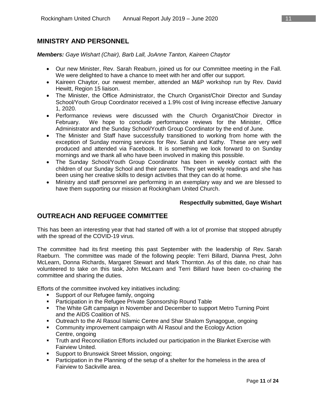## **MINISTRY AND PERSONNEL**

*Members: Gaye Wishart (Chair), Barb Lall, JoAnne Tanton, Kaireen Chaytor*

- Our new Minister, Rev. Sarah Reaburn, joined us for our Committee meeting in the Fall. We were delighted to have a chance to meet with her and offer our support.
- Kaireen Chaytor, our newest member, attended an M&P workshop run by Rev. David Hewitt, Region 15 liaison.
- The Minister, the Office Administrator, the Church Organist/Choir Director and Sunday School/Youth Group Coordinator received a 1.9% cost of living increase effective January 1, 2020.
- Performance reviews were discussed with the Church Organist/Choir Director in February. We hope to conclude performance reviews for the Minister, Office Administrator and the Sunday School/Youth Group Coordinator by the end of June.
- The Minister and Staff have successfully transitioned to working from home with the exception of Sunday morning services for Rev. Sarah and Kathy. These are very well produced and attended via Facebook. It is something we look forward to on Sunday mornings and we thank all who have been involved in making this possible.
- The Sunday School/Youth Group Coordinator has been in weekly contact with the children of our Sunday School and their parents. They get weekly readings and she has been using her creative skills to design activities that they can do at home.
- Ministry and staff personnel are performing in an exemplary way and we are blessed to have them supporting our mission at Rockingham United Church.

#### **Respectfully submitted, Gaye Wishart**

## **OUTREACH AND REFUGEE COMMITTEE**

This has been an interesting year that had started off with a lot of promise that stopped abruptly with the spread of the COVID-19 virus.

The committee had its first meeting this past September with the leadership of Rev. Sarah Raeburn. The committee was made of the following people: Terri Billard, Dianna Prest, John McLearn, Donna Richards, Margaret Stewart and Mark Thornton. As of this date, no chair has volunteered to take on this task, John McLearn and Terri Billard have been co-chairing the committee and sharing the duties.

Efforts of the committee involved key initiatives including:

- **Support of our Refugee family, ongoing**
- Participation in the Refugee Private Sponsorship Round Table
- **The White Gift campaign in November and December to support Metro Turning Point** and the AIDS Coalition of NS.
- **Dutreach to the AI Rasoul Islamic Centre and Shar Shalom Synagogue, ongoing**
- Community improvement campaign with Al Rasoul and the Ecology Action Centre, ongoing
- **Truth and Reconciliation Efforts included our participation in the Blanket Exercise with** Fairview United.
- **Support to Brunswick Street Mission, ongoing;**
- **Participation in the Planning of the setup of a shelter for the homeless in the area of** Fairview to Sackville area.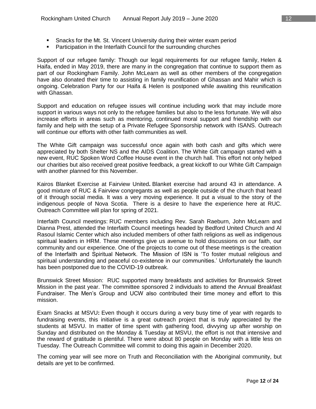- Snacks for the Mt. St. Vincent University during their winter exam period
- **Participation in the Interfaith Council for the surrounding churches**

Support of our refugee family: Though our legal requirements for our refugee family, Helen & Haifa, ended in May 2019, there are many in the congregation that continue to support them as part of our Rockingham Family. John McLearn as well as other members of the congregation have also donated their time to assisting in family reunification of Ghassan and Mahir which is ongoing. Celebration Party for our Haifa & Helen is postponed while awaiting this reunification with Ghassan.

Support and education on refugee issues will continue including work that may include more support in various ways not only to the refugee families but also to the less fortunate. We will also increase efforts in areas such as mentoring, continued moral support and friendship with our family and help with the setup of a Private Refugee Sponsorship network with ISANS. Outreach will continue our efforts with other faith communities as well.

The White Gift campaign was successful once again with both cash and gifts which were appreciated by both Shelter NS and the AIDS Coalition. The White Gift campaign started with a new event, RUC Spoken Word Coffee House event in the church hall. This effort not only helped our charities but also received great positive feedback, a great kickoff to our White Gift Campaign with another planned for this November.

Kairos Blanket Exercise at Fairview United**.** Blanket exercise had around 43 in attendance. A good mixture of RUC & Fairview congregants as well as people outside of the church that heard of it through social media. It was a very moving experience. It put a visual to the story of the indigenous people of Nova Scotia. There is a desire to have the experience here at RUC. Outreach Committee will plan for spring of 2021.

Interfaith Council meetings: RUC members including Rev. Sarah Raeburn, John McLearn and Dianna Prest, attended the Interfaith Council meetings headed by Bedford United Church and Al Rasoul Islamic Center which also included members of other faith religions as well as indigenous spiritual leaders in HRM. These meetings give us avenue to hold discussions on our faith, our community and our experience. One of the projects to come out of these meetings is the creation of the Interfaith and Spiritual Network. The Mission of ISN is 'To foster mutual religious and spiritual understanding and peaceful co-existence in our communities.' Unfortunately the launch has been postponed due to the COVID-19 outbreak.

Brunswick Street Mission: RUC supported many breakfasts and activities for Brunswick Street Mission in the past year. The committee sponsored 2 individuals to attend the Annual Breakfast Fundraiser. The Men's Group and UCW also contributed their time money and effort to this mission.

Exam Snacks at MSVU**:** Even though it occurs during a very busy time of year with regards to fundraising events, this initiative is a great outreach project that is truly appreciated by the students at MSVU. In matter of time spent with gathering food, divvying up after worship on Sunday and distributed on the Monday & Tuesday at MSVU, the effort is not that intensive and the reward of gratitude is plentiful. There were about 80 people on Monday with a little less on Tuesday. The Outreach Committee will commit to doing this again in December 2020.

The coming year will see more on Truth and Reconciliation with the Aboriginal community, but details are yet to be confirmed.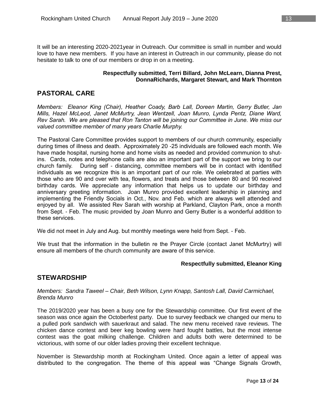It will be an interesting 2020-2021year in Outreach. Our committee is small in number and would love to have new members. If you have an interest in Outreach in our community, please do not hesitate to talk to one of our members or drop in on a meeting.

#### **Respectfully submitted, Terri Billard, John McLearn, Dianna Prest, DonnaRichards, Margaret Stewart, and Mark Thornton**

## **PASTORAL CARE**

*Members: Eleanor King (Chair), Heather Coady, Barb Lall, Doreen Martin, Gerry Butler, Jan Mills, Hazel McLeod, Janet McMurtry, Jean Wentzell, Joan Munro, Lynda Pentz, Diane Ward, Rev Sarah. We are pleased that Ron Tanton will be joining our Committee in June. We miss our valued committee member of many years Charlie Murphy.*

The Pastoral Care Committee provides support to members of our church community, especially during times of illness and death. Approximately 20 -25 individuals are followed each month. We have made hospital, nursing home and home visits as needed and provided communion to shutins. Cards, notes and telephone calls are also an important part of the support we bring to our church family. During self - distancing, committee members will be in contact with identified individuals as we recognize this is an important part of our role. We celebrated at parties with those who are 90 and over with tea, flowers, and treats and those between 80 and 90 received birthday cards. We appreciate any information that helps us to update our birthday and anniversary greeting information. Joan Munro provided excellent leadership in planning and implementing the Friendly Socials in Oct., Nov. and Feb. which are always well attended and enjoyed by all. We assisted Rev Sarah with worship at Parkland, Clayton Park, once a month from Sept. - Feb. The music provided by Joan Munro and Gerry Butler is a wonderful addition to these services.

We did not meet in July and Aug. but monthly meetings were held from Sept. - Feb.

We trust that the information in the bulletin re the Prayer Circle (contact Janet McMurtry) will ensure all members of the church community are aware of this service.

#### **Respectfully submitted, Eleanor King**

## **STEWARDSHIP**

#### *Members: Sandra Taweel – Chair, Beth Wilson, Lynn Knapp, Santosh Lall, David Carmichael, Brenda Munro*

The 2019/2020 year has been a busy one for the Stewardship committee. Our first event of the season was once again the Octoberfest party. Due to survey feedback we changed our menu to a pulled pork sandwich with sauerkraut and salad. The new menu received rave reviews. The chicken dance contest and beer keg bowling were hard fought battles, but the most intense contest was the goat milking challenge. Children and adults both were determined to be victorious, with some of our older ladies proving their excellent technique.

November is Stewardship month at Rockingham United. Once again a letter of appeal was distributed to the congregation. The theme of this appeal was "Change Signals Growth,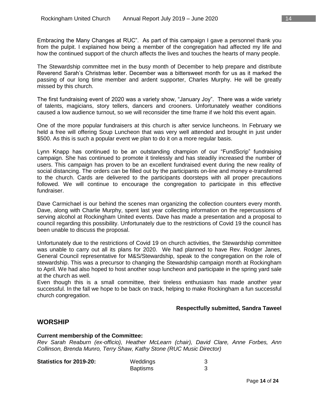Embracing the Many Changes at RUC". As part of this campaign I gave a personnel thank you from the pulpit. I explained how being a member of the congregation had affected my life and how the continued support of the church affects the lives and touches the hearts of many people.

The Stewardship committee met in the busy month of December to help prepare and distribute Reverend Sarah's Christmas letter. December was a bittersweet month for us as it marked the passing of our long time member and ardent supporter, Charles Murphy. He will be greatly missed by this church.

The first fundraising event of 2020 was a variety show, "January Joy". There was a wide variety of talents, magicians, story tellers, dancers and crooners. Unfortunately weather conditions caused a low audience turnout, so we will reconsider the time frame if we hold this event again.

One of the more popular fundraisers at this church is after service luncheons. In February we held a free will offering Soup Luncheon that was very well attended and brought in just under \$500. As this is such a popular event we plan to do it on a more regular basis.

Lynn Knapp has continued to be an outstanding champion of our "FundScrip" fundraising campaign. She has continued to promote it tirelessly and has steadily increased the number of users. This campaign has proven to be an excellent fundraised event during the new reality of social distancing. The orders can be filled out by the participants on-line and money e-transferred to the church. Cards are delivered to the participants doorsteps with all proper precautions followed. We will continue to encourage the congregation to participate in this effective fundraiser.

Dave Carmichael is our behind the scenes man organizing the collection counters every month. Dave, along with Charlie Murphy, spent last year collecting information on the repercussions of serving alcohol at Rockingham United events. Dave has made a presentation and a proposal to council regarding this possibility. Unfortunately due to the restrictions of Covid 19 the council has been unable to discuss the proposal.

Unfortunately due to the restrictions of Covid 19 on church activities, the Stewardship committee was unable to carry out all its plans for 2020. We had planned to have Rev. Rodger Janes, General Council representative for M&S/Stewardship, speak to the congregation on the role of stewardship. This was a precursor to changing the Stewardship campaign month at Rockingham to April. We had also hoped to host another soup luncheon and participate in the spring yard sale at the church as well.

Even though this is a small committee, their tireless enthusiasm has made another year successful. In the fall we hope to be back on track, helping to make Rockingham a fun successful church congregation.

#### **Respectfully submitted, Sandra Taweel**

## **WORSHIP**

#### **Current membership of the Committee:**

*Rev Sarah Reaburn (ex-officio), Heather McLearn (chair), David Clare, Anne Forbes, Ann Collinson, Brenda Munro, Terry Shaw, Kathy Stone (RUC Music Director)*

| Statistics for 2019-20: | Weddings        |  |
|-------------------------|-----------------|--|
|                         | <b>Baptisms</b> |  |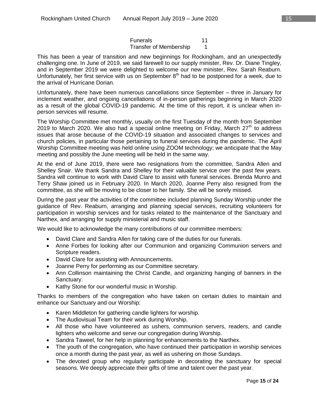Funerals 11 Transfer of Membership 1

This has been a year of transition and new beginnings for Rockingham, and an unexpectedly challenging one. In June of 2019, we said farewell to our supply minister, Rev. Dr. Diane Tingley, and in September 2019 we were delighted to welcome our new minister, Rev. Sarah Reaburn. Unfortunately, her first service with us on September 8<sup>th</sup> had to be postponed for a week, due to the arrival of Hurricane Dorian.

Unfortunately, there have been numerous cancellations since September – three in January for inclement weather, and ongoing cancellations of in-person gatherings beginning in March 2020 as a result of the global COVID-19 pandemic. At the time of this report, it is unclear when inperson services will resume.

The Worship Committee met monthly, usually on the first Tuesday of the month from September 2019 to March 2020. We also had a special online meeting on Friday, March  $27<sup>th</sup>$  to address issues that arose because of the COVID-19 situation and associated changes to services and church policies, in particular those pertaining to funeral services during the pandemic. The April Worship Committee meeting was held online using ZOOM technology; we anticipate that the May meeting and possibly the June meeting will be held in the same way.

At the end of June 2019, there were two resignations from the committee, Sandra Allen and Shelley Snair. We thank Sandra and Shelley for their valuable service over the past few years. Sandra will continue to work with David Clare to assist with funeral services. Brenda Munro and Terry Shaw joined us in February 2020. In March 2020, Joanne Perry also resigned from the committee, as she will be moving to be closer to her family. She will be sorely missed.

During the past year the activities of the committee included planning Sunday Worship under the guidance of Rev. Reaburn, arranging and planning special services, recruiting volunteers for participation in worship services and for tasks related to the maintenance of the Sanctuary and Narthex, and arranging for supply ministerial and music staff.

We would like to acknowledge the many contributions of our committee members:

- David Clare and Sandra Allen for taking care of the duties for our funerals.
- Anne Forbes for looking after our Communion and organizing Communion servers and Scripture readers.
- David Clare for assisting with Announcements.
- Joanne Perry for performing as our Committee secretary.
- Ann Collinson maintaining the Christ Candle, and organizing hanging of banners in the Sanctuary.
- Kathy Stone for our wonderful music in Worship.

Thanks to members of the congregation who have taken on certain duties to maintain and enhance our Sanctuary and our Worship:

- Karen Middleton for gathering candle lighters for worship.
- The Audiovisual Team for their work during Worship.
- All those who have volunteered as ushers, communion servers, readers, and candle lighters who welcome and serve our congregation during Worship.
- Sandra Taweel, for her help in planning for enhancements to the Narthex.
- The youth of the congregation, who have continued their participation in worship services once a month during the past year, as well as ushering on those Sundays.
- The devoted group who regularly participate in decorating the sanctuary for special seasons. We deeply appreciate their gifts of time and talent over the past year.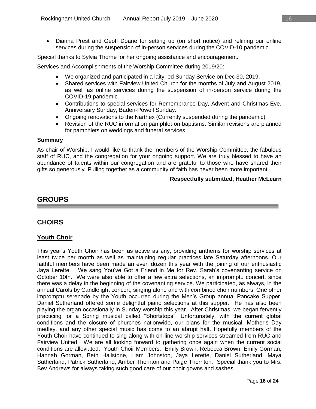Dianna Prest and Geoff Doane for setting up (on short notice) and refining our online services during the suspension of in-person services during the COVID-10 pandemic.

Special thanks to Sylvia Thorne for her ongoing assistance and encouragement.

Services and Accomplishments of the Worship Committee during 2019/20:

- We organized and participated in a laity-led Sunday Service on Dec 30, 2019.
- Shared services with Fairview United Church for the months of July and August 2019, as well as online services during the suspension of in-person service during the COVID-19 pandemic.
- Contributions to special services for Remembrance Day, Advent and Christmas Eve, Anniversary Sunday, Baden-Powell Sunday.
- Ongoing renovations to the Narthex (Currently suspended during the pandemic)
- Revision of the RUC information pamphlet on baptisms. Similar revisions are planned for pamphlets on weddings and funeral services.

#### **Summary**

As chair of Worship, I would like to thank the members of the Worship Committee, the fabulous staff of RUC, and the congregation for your ongoing support. We are truly blessed to have an abundance of talents within our congregation and are grateful to those who have shared their gifts so generously. Pulling together as a community of faith has never been more important.

#### **Respectfully submitted, Heather McLearn**

## **GROUPS**

## **CHOIRS**

#### **Youth Choir**

This year's Youth Choir has been as active as any, providing anthems for worship services at least twice per month as well as maintaining regular practices late Saturday afternoons. Our faithful members have been made an even dozen this year with the joining of our enthusiastic Jaya Lerette. We sang You've Got a Friend in Me for Rev. Sarah's covenanting service on October 10th. We were also able to offer a few extra selections, an impromptu concert, since there was a delay in the beginning of the covenanting service. We participated, as always, in the annual Carols by Candlelight concert, singing alone and with combined choir numbers. One other impromptu serenade by the Youth occurred during the Men's Group annual Pancake Supper. Daniel Sutherland offered some delightful piano selections at this supper. He has also been playing the organ occasionally in Sunday worship this year. After Christmas, we began fervently practicing for a Spring musical called "Shortstops". Unfortunately, with the current global conditions and the closure of churches nationwide, our plans for the musical, Mother's Day medley, and any other special music has come to an abrupt halt. Hopefully members of the Youth Choir have continued to sing along with on-line worship services streamed from RUC and Fairview United. We are all looking forward to gathering once again when the current social conditions are alleviated. Youth Choir Members: Emily Brown, Rebecca Brown, Emily Gorman, Hannah Gorman, Beth Hailstone, Liam Johnston, Jaya Lerette, Daniel Sutherland, Maya Sutherland, Patrick Sutherland, Amber Thornton and Paige Thornton. Special thank you to Mrs. Bev Andrews for always taking such good care of our choir gowns and sashes.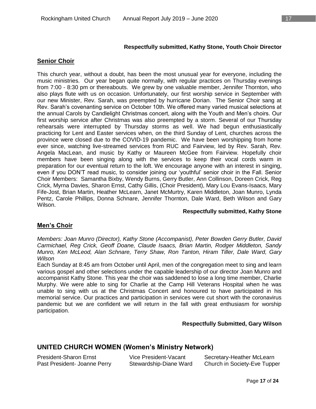## **Senior Choir**

This church year, without a doubt, has been the most unusual year for everyone, including the music ministries. Our year began quite normally, with regular practices on Thursday evenings from 7:00 - 8:30 pm or thereabouts. We grew by one valuable member, Jennifer Thornton, who also plays flute with us on occasion. Unfortunately, our first worship service in September with our new Minister, Rev. Sarah, was preempted by hurricane Dorian. The Senior Choir sang at Rev. Sarah's covenanting service on October 10th. We offered many varied musical selections at the annual Carols by Candlelight Christmas concert, along with the Youth and Men's choirs. Our first worship service after Christmas was also preempted by a storm. Several of our Thursday rehearsals were interrupted by Thursday storms as well. We had begun enthusiastically practicing for Lent and Easter services when, on the third Sunday of Lent, churches across the province were closed due to the COVID-19 pandemic. We have been worshipping from home ever since, watching live-streamed services from RUC and Fairview, led by Rev. Sarah, Rev. Angela MacLean, and music by Kathy or Maureen McGee from Fairview. Hopefully choir members have been singing along with the services to keep their vocal cords warm in preparation for our eventual return to the loft. We encourage anyone with an interest in singing, even if you DON'T read music, to consider joining our 'youthful' senior choir in the Fall. Senior Choir Members: Samantha Bixby, Wendy Burns, Gerry Butler, Ann Collinson, Doreen Crick, Reg Crick, Myrna Davies, Sharon Ernst, Cathy Gillis, (Choir President), Mary Lou Evans-Isaacs, Mary Fife-Jost, Brian Martin, Heather McLearn, Janet McMurtry, Karen Middleton, Joan Munro, Lynda Pentz, Carole Phillips, Donna Schnare, Jennifer Thornton, Dale Ward, Beth Wilson and Gary Wilson.

#### **Respectfully submitted, Kathy Stone**

#### **Men's Choir**

*Members: Joan Munro (Director), Kathy Stone (Accompanist), Peter Bowden Gerry Butler, David Carmichael, Reg Crick, Geoff Doane, Claude Isaacs, Brian Martin, Rodger Middleton, Sandy Munro, Ken McLeod, Alan Schnare, Terry Shaw, Ron Tanton, Hiram Tiller, Dale Ward, Gary Wilson*

Each Sunday at 8:45 am from October until April, men of the congregation meet to sing and learn various gospel and other selections under the capable leadership of our director Joan Munro and accompanist Kathy Stone. This year the choir was saddened to lose a long time member, Charlie Murphy. We were able to sing for Charlie at the Camp Hill Veterans Hospital when he was unable to sing with us at the Christmas Concert and honoured to have participated in his memorial service. Our practices and participation in services were cut short with the coronavirus pandemic but we are confident we will return in the fall with great enthusiasm for worship participation.

#### **Respectfully Submitted, Gary Wilson**

## **UNITED CHURCH WOMEN (Women's Ministry Network)**

| President-Sharon Ernst       | Vice President-Vacant  | Secretary-Heather McLearn    |
|------------------------------|------------------------|------------------------------|
| Past President- Joanne Perry | Stewardship-Diane Ward | Church in Society-Eve Tupper |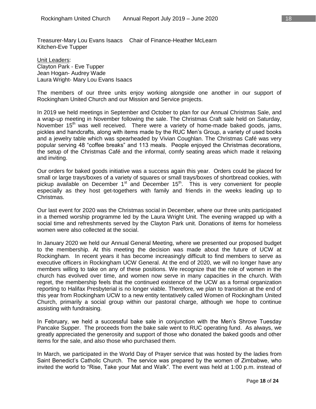Treasurer-Mary Lou Evans Isaacs Chair of Finance-Heather McLearn Kitchen-Eve Tupper

Unit Leaders: Clayton Park - Eve Tupper Jean Hogan- Audrey Wade Laura Wright- Mary Lou Evans Isaacs

The members of our three units enjoy working alongside one another in our support of Rockingham United Church and our Mission and Service projects.

In 2019 we held meetings in September and October to plan for our Annual Christmas Sale, and a wrap-up meeting in November following the sale. The Christmas Craft sale held on Saturday, November 15<sup>th</sup> was well received. There were a variety of home-made baked goods, jams, pickles and handcrafts, along with items made by the RUC Men's Group, a variety of used books and a jewelry table which was spearheaded by Vivian Coughlan. The Christmas Café was very popular serving 48 "coffee breaks" and 113 meals. People enjoyed the Christmas decorations, the setup of the Christmas Café and the informal, comfy seating areas which made it relaxing and inviting.

Our orders for baked goods initiative was a success again this year. Orders could be placed for small or large trays/boxes of a variety of squares or small trays/boxes of shortbread cookies, with pickup available on December  $1<sup>st</sup>$  and December  $15<sup>th</sup>$ . This is very convenient for people especially as they host get-togethers with family and friends in the weeks leading up to Christmas.

Our last event for 2020 was the Christmas social in December, where our three units participated in a themed worship programme led by the Laura Wright Unit. The evening wrapped up with a social time and refreshments served by the Clayton Park unit. Donations of items for homeless women were also collected at the social.

In January 2020 we held our Annual General Meeting, where we presented our proposed budget to the membership. At this meeting the decision was made about the future of UCW at Rockingham. In recent years it has become increasingly difficult to find members to serve as executive officers in Rockingham UCW General. At the end of 2020, we will no longer have any members willing to take on any of these positions. We recognize that the role of women in the church has evolved over time, and women now serve in many capacities in the church. With regret, the membership feels that the continued existence of the UCW as a formal organization reporting to Halifax Presbyterial is no longer viable. Therefore, we plan to transition at the end of this year from Rockingham UCW to a new entity tentatively called Women of Rockingham United Church, primarily a social group within our pastoral charge, although we hope to continue assisting with fundraising.

In February, we held a successful bake sale in conjunction with the Men's Shrove Tuesday Pancake Supper. The proceeds from the bake sale went to RUC operating fund. As always, we greatly appreciated the generosity and support of those who donated the baked goods and other items for the sale, and also those who purchased them.

In March, we participated in the World Day of Prayer service that was hosted by the ladies from Saint Benedict's Catholic Church. The service was prepared by the women of Zimbabwe, who invited the world to "Rise, Take your Mat and Walk". The event was held at 1:00 p.m. instead of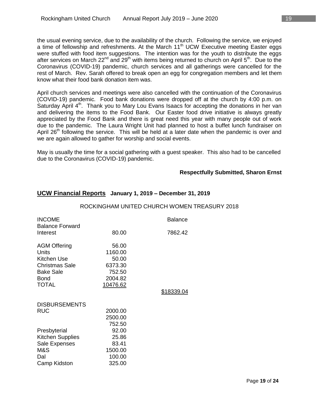the usual evening service, due to the availability of the church. Following the service, we enjoyed a time of fellowship and refreshments. At the March  $11<sup>th</sup> UCW$  Executive meeting Easter eggs were stuffed with food item suggestions. The intention was for the youth to distribute the eggs after services on March  $22^{nd}$  and  $29^{th}$  with items being returned to church on April  $5^{th}$ . Due to the Coronavirus (COVID-19) pandemic, church services and all gatherings were cancelled for the rest of March. Rev. Sarah offered to break open an egg for congregation members and let them know what their food bank donation item was.

April church services and meetings were also cancelled with the continuation of the Coronavirus (COVID-19) pandemic. Food bank donations were dropped off at the church by 4:00 p.m. on Saturday April  $4<sup>th</sup>$ . Thank you to Mary Lou Evans Isaacs for accepting the donations in her van and delivering the items to the Food Bank. Our Easter food drive initiative is always greatly appreciated by the Food Bank and there is great need this year with many people out of work due to the pandemic. The Laura Wright Unit had planned to host a buffet lunch fundraiser on April  $26<sup>th</sup>$  following the service. This will be held at a later date when the pandemic is over and we are again allowed to gather for worship and social events.

May is usually the time for a social gathering with a guest speaker. This also had to be cancelled due to the Coronavirus (COVID-19) pandemic.

#### **Respectfully Submitted, Sharon Ernst**

| <b>INCOME</b><br><b>Balance Forward</b>                                                                          |                                                           | <b>Balance</b> |
|------------------------------------------------------------------------------------------------------------------|-----------------------------------------------------------|----------------|
| Interest                                                                                                         | 80.00                                                     | 7862.42        |
| <b>AGM Offering</b><br>Units<br>Kitchen Use<br><b>Christmas Sale</b><br><b>Bake Sale</b><br>Bond<br><b>TOTAL</b> | 56.00<br>1160.00<br>50.00<br>6373.30<br>752.50<br>2004.82 |                |
|                                                                                                                  | 10476.62                                                  | \$18339.04     |
| <b>DISBURSEMENTS</b><br><b>RUC</b>                                                                               | 2000.00<br>2500.00<br>752.50                              |                |
| Presbyterial<br><b>Kitchen Supplies</b><br>Sale Expenses<br>M&S<br>Dal<br>Camp Kidston                           | 92.00<br>25.86<br>83.41<br>1500.00<br>100.00<br>325.00    |                |

## **UCW Financial Reports January 1, 2019 – December 31, 2019**

#### ROCKINGHAM UNITED CHURCH WOMEN TREASURY 2018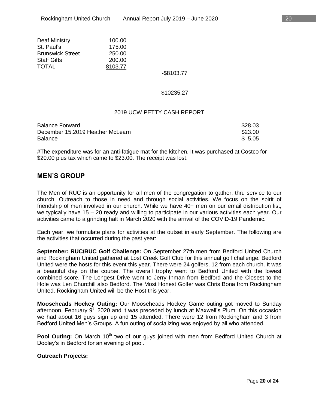| Deaf Ministry           | 100.00  |
|-------------------------|---------|
| St. Paul's              | 175.00  |
| <b>Brunswick Street</b> | 250.00  |
| <b>Staff Gifts</b>      | 200.00  |
| TOTAL                   | 8103.77 |

### -\$8103.77

#### \$10235.27

#### 2019 UCW PETTY CASH REPORT

| <b>Balance Forward</b>           | \$28.03 |
|----------------------------------|---------|
| December 15,2019 Heather McLearn | \$23.00 |
| <b>Balance</b>                   | \$ 5.05 |

#The expenditure was for an anti-fatigue mat for the kitchen. It was purchased at Costco for \$20.00 plus tax which came to \$23.00. The receipt was lost.

## **MEN'S GROUP**

The Men of RUC is an opportunity for all men of the congregation to gather, thru service to our church, Outreach to those in need and through social activities. We focus on the spirit of friendship of men involved in our church. While we have 40+ men on our email distribution list, we typically have 15 – 20 ready and willing to participate in our various activities each year. Our activities came to a grinding halt in March 2020 with the arrival of the COVID-19 Pandemic.

Each year, we formulate plans for activities at the outset in early September. The following are the activities that occurred during the past year:

**September: RUC/BUC Golf Challenge:** On September 27th men from Bedford United Church and Rockingham United gathered at Lost Creek Golf Club for this annual golf challenge. Bedford United were the hosts for this event this year. There were 24 golfers, 12 from each church. It was a beautiful day on the course. The overall trophy went to Bedford United with the lowest combined score. The Longest Drive went to Jerry Inman from Bedford and the Closest to the Hole was Len Churchill also Bedford. The Most Honest Golfer was Chris Bona from Rockingham United. Rockingham United will be the Host this year.

**Mooseheads Hockey Outing:** Our Mooseheads Hockey Game outing got moved to Sunday afternoon, February  $9<sup>th</sup>$  2020 and it was preceded by lunch at Maxwell's Plum. On this occasion we had about 16 guys sign up and 15 attended. There were 12 from Rockingham and 3 from Bedford United Men's Groups. A fun outing of socializing was enjoyed by all who attended.

**Pool Outing:** On March 10<sup>th</sup> two of our guys joined with men from Bedford United Church at Dooley's in Bedford for an evening of pool.

#### **Outreach Projects:**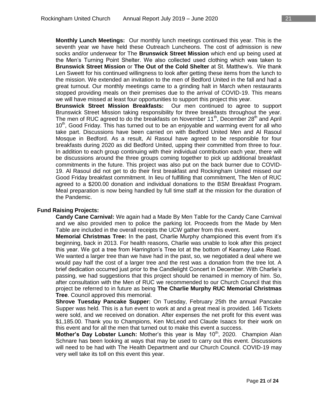**Monthly Lunch Meetings:** Our monthly lunch meetings continued this year. This is the seventh year we have held these Outreach Luncheons. The cost of admission is new socks and/or underwear for The **Brunswick Street Mission** which end up being used at the Men's Turning Point Shelter. We also collected used clothing which was taken to **Brunswick Street Mission** or **The Out of the Cold Shelter** at St. Matthew's. We thank Len Sweett for his continued willingness to look after getting these items from the lunch to the mission. We extended an invitation to the men of Bedford United in the fall and had a great turnout. Our monthly meetings came to a grinding halt in March when restaurants stopped providing meals on their premises due to the arrival of COVID-19. This means we will have missed at least four opportunities to support this project this year.

**Brunswick Street Mission Breakfasts:** Our men continued to agree to support Brunswick Street Mission taking responsibility for three breakfasts throughout the year. The men of RUC agreed to do the breakfasts on November  $11<sup>th</sup>$ , December  $28<sup>th</sup>$  and April  $10<sup>th</sup>$ , Good Friday. This has turned out to be an enjoyable and warming event for all who take part. Discussions have been carried on with Bedford United Men and Al Rasoul Mosque in Bedford. As a result, Al Rasoul have agreed to be responsible for four breakfasts during 2020 as did Bedford United, upping their committed from three to four. In addition to each group continuing with their individual contribution each year, there will be discussions around the three groups coming together to pick up additional breakfast commitments in the future. This project was also put on the back burner due to COVID-19. Al Rasoul did not get to do their first breakfast and Rockingham United missed our Good Friday breakfast commitment. In lieu of fulfilling that commitment, The Men of RUC agreed to a \$200.00 donation and individual donations to the BSM Breakfast Program. Meal preparation is now being handled by full time staff at the mission for the duration of the Pandemic.

#### **Fund Raising Projects:**

**Candy Cane Carnival:** We again had a Made By Men Table for the Candy Cane Carnival and we also provided men to police the parking lot. Proceeds from the Made by Men Table are included in the overall receipts the UCW gather from this event.

**Memorial Christmas Tree:** In the past, Charlie Murphy championed this event from it's beginning, back in 2013. For health reasons, Charlie was unable to look after this project this year. We got a tree from Harrington's Tree lot at the bottom of Kearney Lake Road. We wanted a larger tree than we have had in the past, so, we negotiated a deal where we would pay half the cost of a larger tree and the rest was a donation from the tree lot. A brief dedication occurred just prior to the Candlelight Concert in December. With Charlie's passing, we had suggestions that this project should be renamed in memory of him. So, after consultation with the Men of RUC we recommended to our Church Council that this project be referred to in future as being **The Charlie Murphy RUC Memorial Christmas Tree**. Council approved this memorial.

**Shrove Tuesday Pancake Supper:** On Tuesday, February 25th the annual Pancake Supper was held. This is a fun event to work at and a great meal is provided. 146 Tickets were sold, and we received on donation. After expenses the net profit for this event was \$1,185.00. Thank you to Champions, Ken McLeod and Claude Isaacs for their work on this event and for all the men that turned out to make this event a success.

**Mother's Day Lobster Lunch:** Mother's this year is May 10<sup>th</sup>, 2020. Champion Alan Schnare has been looking at ways that may be used to carry out this event. Discussions will need to be had with The Health Department and our Church Council. COVID-19 may very well take its toll on this event this year.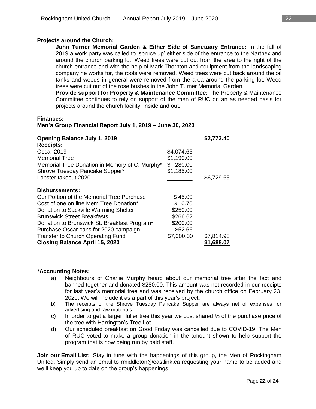#### **Projects around the Church:**

**John Turner Memorial Garden & Either Side of Sanctuary Entrance:** In the fall of 2019 a work party was called to 'spruce up' either side of the entrance to the Narthex and around the church parking lot. Weed trees were cut out from the area to the right of the church entrance and with the help of Mark Thornton and equipment from the landscaping company he works for, the roots were removed. Weed trees were cut back around the oil tanks and weeds in general were removed from the area around the parking lot. Weed trees were cut out of the rose bushes in the John Turner Memorial Garden.

**Provide support for Property & Maintenance Committee:** The Property & Maintenance Committee continues to rely on support of the men of RUC on an as needed basis for projects around the church facility, inside and out.

**Finances:**

#### **Men's Group Financial Report July 1, 2019 – June 30, 2020**

| <b>Opening Balance July 1, 2019</b><br><b>Receipts:</b> |              | \$2,773.40 |
|---------------------------------------------------------|--------------|------------|
| Oscar 2019                                              | \$4,074.65   |            |
| <b>Memorial Tree</b>                                    | \$1,190.00   |            |
| Memorial Tree Donation in Memory of C. Murphy*          | 280.00<br>\$ |            |
| Shrove Tuesday Pancake Supper*                          | \$1,185.00   |            |
| Lobster takeout 2020                                    |              | \$6,729.65 |
| <b>Disbursements:</b>                                   |              |            |
| Our Portion of the Memorial Tree Purchase               | \$45.00      |            |
| Cost of one on line Mem Tree Donation*                  | \$ 0.70      |            |
| Donation to Sackville Warming Shelter                   | \$250.00     |            |
| <b>Brunswick Street Breakfasts</b>                      | \$266.62     |            |
| Donation to Brunswick St. Breakfast Program*            | \$200.00     |            |
| Purchase Oscar cans for 2020 campaign                   | \$52.66      |            |
| Transfer to Church Operating Fund                       | \$7,000.00   | \$7,814.98 |
| <b>Closing Balance April 15, 2020</b>                   |              | \$1,688.07 |

#### **\*Accounting Notes:**

- a) Neighbours of Charlie Murphy heard about our memorial tree after the fact and banned together and donated \$280.00. This amount was not recorded in our receipts for last year's memorial tree and was received by the church office on February 23, 2020. We will include it as a part of this year's project.
- b) The receipts of the Shrove Tuesday Pancake Supper are always net of expenses for advertising and raw materials.
- c) In order to get a larger, fuller tree this year we cost shared  $\frac{1}{2}$  of the purchase price of the tree with Harrington's Tree Lot.
- d) Our scheduled breakfast on Good Friday was cancelled due to COVID-19. The Men of RUC voted to make a group donation in the amount shown to help support the program that is now being run by paid staff.

**Join our Email List:** Stay in tune with the happenings of this group, the Men of Rockingham United. Simply send an email to [rmiddleton@eastlink.ca](mailto:rmiddleton@eastlink.ca) requesting your name to be added and we'll keep you up to date on the group's happenings.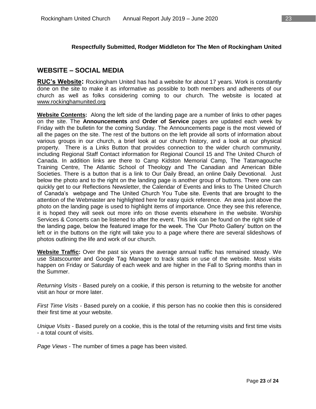## **Respectfully Submitted, Rodger Middleton for The Men of Rockingham United**

## **WEBSITE – SOCIAL MEDIA**

**RUC's Website:** Rockingham United has had a website for about 17 years. Work is constantly done on the site to make it as informative as possible to both members and adherents of our church as well as folks considering coming to our church. The website is located at [www.rockinghamunited.org](http://www.rockinghamunited.org/)

**Website Contents:** Along the left side of the landing page are a number of links to other pages on the site. The **Announcements** and **Order of Service** pages are updated each week by Friday with the bulletin for the coming Sunday. The Announcements page is the most viewed of all the pages on the site. The rest of the buttons on the left provide all sorts of information about various groups in our church, a brief look at our church history, and a look at our physical property. There is a Links Button that provides connection to the wider church community, including Regional Staff Contact information for Regional Council 15 and The United Church of Canada. In addition links are there to Camp Kidston Memorial Camp, The Tatamagouche Training Centre, The Atlantic School of Theology and The Canadian and American Bible Societies. There is a button that is a link to Our Daily Bread, an online Daily Devotional. Just below the photo and to the right on the landing page is another group of buttons. There one can quickly get to our Reflections Newsletter, the Calendar of Events and links to The United Church of Canada's webpage and The United Church You Tube site. Events that are brought to the attention of the Webmaster are highlighted here for easy quick reference. An area just above the photo on the landing page is used to highlight items of importance. Once they see this reference, it is hoped they will seek out more info on those events elsewhere in the website. Worship Services & Concerts can be listened to after the event. This link can be found on the right side of the landing page, below the featured image for the week. The 'Our Photo Gallery' button on the left or in the buttons on the right will take you to a page where there are several slideshows of photos outlining the life and work of our church.

**Website Traffic:** Over the past six years the average annual traffic has remained steady. We use Statscounter and Google Tag Manager to track stats on use of the website. Most visits happen on Friday or Saturday of each week and are higher in the Fall to Spring months than in the Summer.

*Returning Visits* - Based purely on a cookie, if this person is returning to the website for another visit an hour or more later.

*First Time Visits* - Based purely on a cookie, if this person has no cookie then this is considered their first time at your website.

*Unique Visits* - Based purely on a cookie, this is the total of the returning visits and first time visits - a total count of visits.

*Page Views* - The number of times a page has been visited.